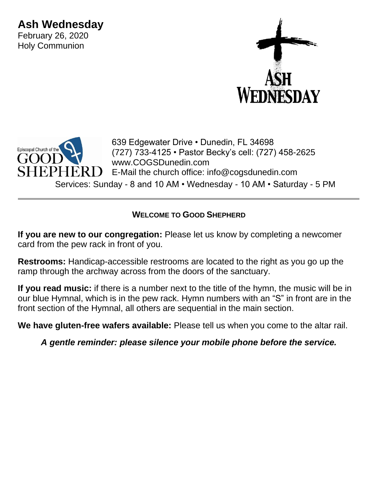# **Ash Wednesday**

February 26, 2020 Holy Communion





Services: Sunday - 8 and 10 AM • Wednesday - 10 AM • Saturday - 5 PM 639 Edgewater Drive • Dunedin, FL 34698 (727) 733-4125 • Pastor Becky's cell: (727) 458-2625 www.COGSDunedin.com E-Mail the church office: info@cogsdunedin.com

## **WELCOME TO GOOD SHEPHERD**

**If you are new to our congregation:** Please let us know by completing a newcomer card from the pew rack in front of you.

**Restrooms:** Handicap-accessible restrooms are located to the right as you go up the ramp through the archway across from the doors of the sanctuary.

**If you read music:** if there is a number next to the title of the hymn, the music will be in our blue Hymnal, which is in the pew rack. Hymn numbers with an "S" in front are in the front section of the Hymnal, all others are sequential in the main section.

**We have gluten-free wafers available:** Please tell us when you come to the altar rail.

*A gentle reminder: please silence your mobile phone before the service.*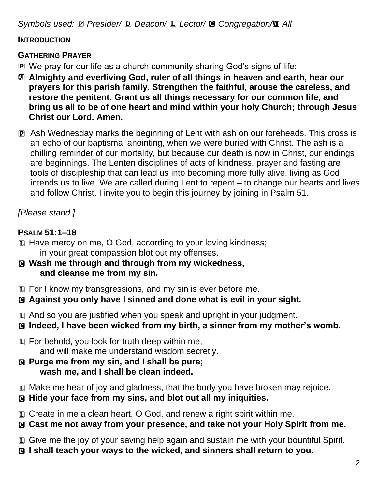*Symbols used:* P *Presider/* D *Deacon/* L *Lector/* C *Congregation/*a *All*

#### **INTRODUCTION**

## **GATHERING PRAYER**

- P We pray for our life as a church community sharing God's signs of life:
- a **Almighty and everliving God, ruler of all things in heaven and earth, hear our prayers for this parish family. Strengthen the faithful, arouse the careless, and restore the penitent. Grant us all things necessary for our common life, and bring us all to be of one heart and mind within your holy Church; through Jesus Christ our Lord. Amen.**
- P Ash Wednesday marks the beginning of Lent with ash on our foreheads. This cross is an echo of our baptismal anointing, when we were buried with Christ. The ash is a chilling reminder of our mortality, but because our death is now in Christ, our endings are beginnings. The Lenten disciplines of acts of kindness, prayer and fasting are tools of discipleship that can lead us into becoming more fully alive, living as God intends us to live. We are called during Lent to repent – to change our hearts and lives and follow Christ. I invite you to begin this journey by joining in Psalm 51.

# *[Please stand.]*

# **PSALM 51:1–18**

- L Have mercy on me, O God, according to your loving kindness; in your great compassion blot out my offenses.
- C **Wash me through and through from my wickedness, and cleanse me from my sin.**
- L For I know my transgressions, and my sin is ever before me.
- C **Against you only have I sinned and done what is evil in your sight.**
- L And so you are justified when you speak and upright in your judgment.
- C **Indeed, I have been wicked from my birth, a sinner from my mother's womb.**
- $E$  For behold, you look for truth deep within me, and will make me understand wisdom secretly.
- C **Purge me from my sin, and I shall be pure; wash me, and I shall be clean indeed.**
- L Make me hear of joy and gladness, that the body you have broken may rejoice.
- C **Hide your face from my sins, and blot out all my iniquities.**
- L Create in me a clean heart, O God, and renew a right spirit within me.
- **Q Cast me not away from your presence, and take not your Holy Spirit from me.**
- L Give me the joy of your saving help again and sustain me with your bountiful Spirit.
- C **I shall teach your ways to the wicked, and sinners shall return to you.**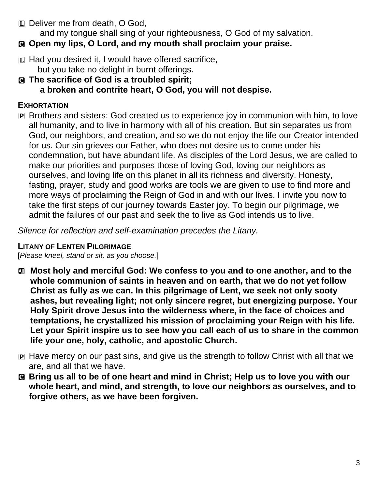L Deliver me from death, O God,

and my tongue shall sing of your righteousness, O God of my salvation.

- C **Open my lips, O Lord, and my mouth shall proclaim your praise.**
- L Had you desired it, I would have offered sacrifice, but you take no delight in burnt offerings.
- C **The sacrifice of God is a troubled spirit; a broken and contrite heart, O God, you will not despise.**

## **EXHORTATION**

P Brothers and sisters: God created us to experience joy in communion with him, to love all humanity, and to live in harmony with all of his creation. But sin separates us from God, our neighbors, and creation, and so we do not enjoy the life our Creator intended for us. Our sin grieves our Father, who does not desire us to come under his condemnation, but have abundant life. As disciples of the Lord Jesus, we are called to make our priorities and purposes those of loving God, loving our neighbors as ourselves, and loving life on this planet in all its richness and diversity. Honesty, fasting, prayer, study and good works are tools we are given to use to find more and more ways of proclaiming the Reign of God in and with our lives. I invite you now to take the first steps of our journey towards Easter joy. To begin our pilgrimage, we admit the failures of our past and seek the to live as God intends us to live.

*Silence for reflection and self-examination precedes the Litany.*

#### **LITANY OF LENTEN PILGRIMAGE**

[*Please kneel, stand or sit, as you choose.*]

- a **Most holy and merciful God: We confess to you and to one another, and to the whole communion of saints in heaven and on earth, that we do not yet follow Christ as fully as we can. In this pilgrimage of Lent, we seek not only sooty ashes, but revealing light; not only sincere regret, but energizing purpose. Your Holy Spirit drove Jesus into the wilderness where, in the face of choices and temptations, he crystallized his mission of proclaiming your Reign with his life. Let your Spirit inspire us to see how you call each of us to share in the common life your one, holy, catholic, and apostolic Church.**
- P Have mercy on our past sins, and give us the strength to follow Christ with all that we are, and all that we have.
- C **Bring us all to be of one heart and mind in Christ; Help us to love you with our whole heart, and mind, and strength, to love our neighbors as ourselves, and to forgive others, as we have been forgiven.**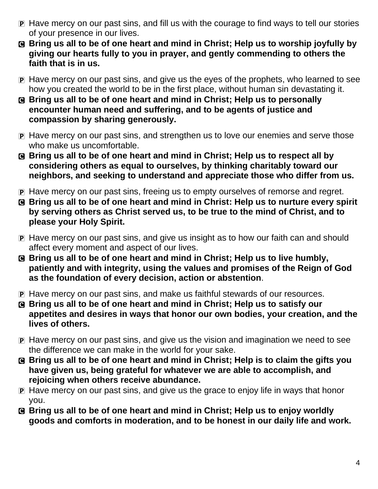- P Have mercy on our past sins, and fill us with the courage to find ways to tell our stories of your presence in our lives.
- C **Bring us all to be of one heart and mind in Christ; Help us to worship joyfully by giving our hearts fully to you in prayer, and gently commending to others the faith that is in us.**
- P Have mercy on our past sins, and give us the eyes of the prophets, who learned to see how you created the world to be in the first place, without human sin devastating it.
- C **Bring us all to be of one heart and mind in Christ; Help us to personally encounter human need and suffering, and to be agents of justice and compassion by sharing generously.**
- P Have mercy on our past sins, and strengthen us to love our enemies and serve those who make us uncomfortable.
- C **Bring us all to be of one heart and mind in Christ; Help us to respect all by considering others as equal to ourselves, by thinking charitably toward our neighbors, and seeking to understand and appreciate those who differ from us.**
- P Have mercy on our past sins, freeing us to empty ourselves of remorse and regret.
- C **Bring us all to be of one heart and mind in Christ: Help us to nurture every spirit by serving others as Christ served us, to be true to the mind of Christ, and to please your Holy Spirit.**
- P Have mercy on our past sins, and give us insight as to how our faith can and should affect every moment and aspect of our lives.
- C **Bring us all to be of one heart and mind in Christ; Help us to live humbly, patiently and with integrity, using the values and promises of the Reign of God as the foundation of every decision, action or abstention**.
- P Have mercy on our past sins, and make us faithful stewards of our resources.
- C **Bring us all to be of one heart and mind in Christ; Help us to satisfy our appetites and desires in ways that honor our own bodies, your creation, and the lives of others.**
- P Have mercy on our past sins, and give us the vision and imagination we need to see the difference we can make in the world for your sake.
- C **Bring us all to be of one heart and mind in Christ; Help is to claim the gifts you have given us, being grateful for whatever we are able to accomplish, and rejoicing when others receive abundance.**
- P Have mercy on our past sins, and give us the grace to enjoy life in ways that honor you.
- C **Bring us all to be of one heart and mind in Christ; Help us to enjoy worldly goods and comforts in moderation, and to be honest in our daily life and work.**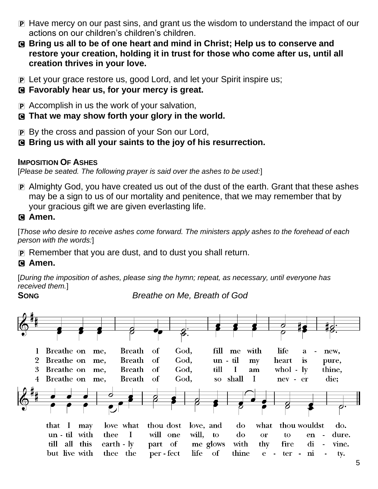- P Have mercy on our past sins, and grant us the wisdom to understand the impact of our actions on our children's children's children.
- C **Bring us all to be of one heart and mind in Christ; Help us to conserve and restore your creation, holding it in trust for those who come after us, until all creation thrives in your love.**
- P Let your grace restore us, good Lord, and let your Spirit inspire us;
- C **Favorably hear us, for your mercy is great.**
- P Accomplish in us the work of your salvation,
- C **That we may show forth your glory in the world.**
- P By the cross and passion of your Son our Lord,
- C **Bring us with all your saints to the joy of his resurrection.**

#### **IMPOSITION OF ASHES**

[*Please be seated. The following prayer is said over the ashes to be used:*]

P Almighty God, you have created us out of the dust of the earth. Grant that these ashes may be a sign to us of our mortality and penitence, that we may remember that by your gracious gift we are given everlasting life.

#### C **Amen.**

[*Those who desire to receive ashes come forward. The ministers apply ashes to the forehead of each person with the words:*]

 $\mathbf{P}$  Remember that you are dust, and to dust you shall return.

#### C **Amen.**

[*During the imposition of ashes, please sing the hymn; repeat, as necessary, until everyone has received them.*]

**SONG** *Breathe on Me, Breath of God*

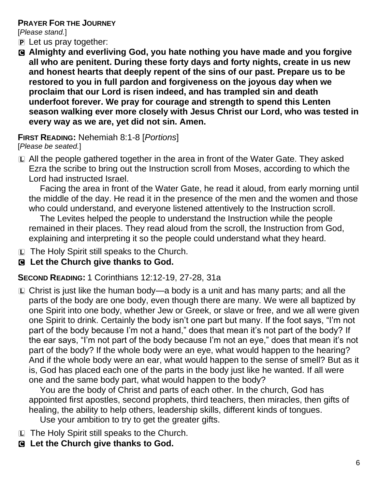#### **PRAYER FOR THE JOURNEY**

[*Please stand.*]

P Let us pray together:

C **Almighty and everliving God, you hate nothing you have made and you forgive all who are penitent. During these forty days and forty nights, create in us new and honest hearts that deeply repent of the sins of our past. Prepare us to be restored to you in full pardon and forgiveness on the joyous day when we proclaim that our Lord is risen indeed, and has trampled sin and death underfoot forever. We pray for courage and strength to spend this Lenten season walking ever more closely with Jesus Christ our Lord, who was tested in every way as we are, yet did not sin. Amen.**

**FIRST READING:** Nehemiah 8:1-8 [*Portions*]

[*Please be seated.*]

L All the people gathered together in the area in front of the Water Gate. They asked Ezra the scribe to bring out the Instruction scroll from Moses, according to which the Lord had instructed Israel.

Facing the area in front of the Water Gate, he read it aloud, from early morning until the middle of the day. He read it in the presence of the men and the women and those who could understand, and everyone listened attentively to the Instruction scroll.

The Levites helped the people to understand the Instruction while the people remained in their places. They read aloud from the scroll, the Instruction from God, explaining and interpreting it so the people could understand what they heard.

- L The Holy Spirit still speaks to the Church.
- C **Let the Church give thanks to God.**

**SECOND READING:** 1 Corinthians 12:12-19, 27-28, 31a

L Christ is just like the human body—a body is a unit and has many parts; and all the parts of the body are one body, even though there are many. We were all baptized by one Spirit into one body, whether Jew or Greek, or slave or free, and we all were given one Spirit to drink. Certainly the body isn't one part but many. If the foot says, "I'm not part of the body because I'm not a hand," does that mean it's not part of the body? If the ear says, "I'm not part of the body because I'm not an eye," does that mean it's not part of the body? If the whole body were an eye, what would happen to the hearing? And if the whole body were an ear, what would happen to the sense of smell? But as it is, God has placed each one of the parts in the body just like he wanted. If all were one and the same body part, what would happen to the body?

You are the body of Christ and parts of each other. In the church, God has appointed first apostles, second prophets, third teachers, then miracles, then gifts of healing, the ability to help others, leadership skills, different kinds of tongues.

Use your ambition to try to get the greater gifts.

- L The Holy Spirit still speaks to the Church.
- C **Let the Church give thanks to God.**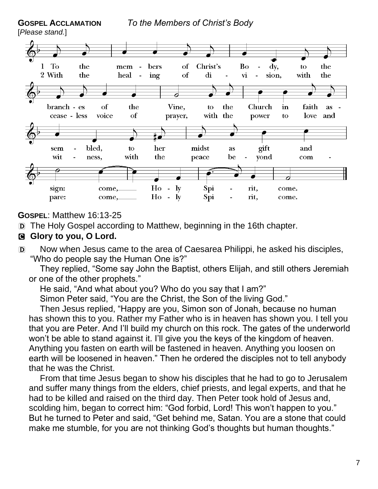[*Please stand.*]



**GOSPEL**: Matthew 16:13-25

D The Holy Gospel according to Matthew, beginning in the 16th chapter.

## G Glory to you, O Lord.

D Now when Jesus came to the area of Caesarea Philippi, he asked his disciples, "Who do people say the Human One is?"

They replied, "Some say John the Baptist, others Elijah, and still others Jeremiah or one of the other prophets."

He said, "And what about you? Who do you say that I am?"

Simon Peter said, "You are the Christ, the Son of the living God."

Then Jesus replied, "Happy are you, Simon son of Jonah, because no human has shown this to you. Rather my Father who is in heaven has shown you. I tell you that you are Peter. And I'll build my church on this rock. The gates of the underworld won't be able to stand against it. I'll give you the keys of the kingdom of heaven. Anything you fasten on earth will be fastened in heaven. Anything you loosen on earth will be loosened in heaven." Then he ordered the disciples not to tell anybody that he was the Christ.

From that time Jesus began to show his disciples that he had to go to Jerusalem and suffer many things from the elders, chief priests, and legal experts, and that he had to be killed and raised on the third day. Then Peter took hold of Jesus and, scolding him, began to correct him: "God forbid, Lord! This won't happen to you." But he turned to Peter and said, "Get behind me, Satan. You are a stone that could make me stumble, for you are not thinking God's thoughts but human thoughts."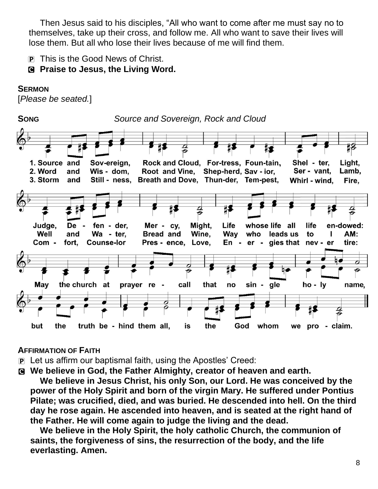Then Jesus said to his disciples, "All who want to come after me must say no to themselves, take up their cross, and follow me. All who want to save their lives will lose them. But all who lose their lives because of me will find them.

- P This is the Good News of Christ.
- C **Praise to Jesus, the Living Word.**

#### **SERMON**

[*Please be seated.*]



#### **AFFIRMATION OF FAITH**

- P Let us affirm our baptismal faith, using the Apostles' Creed:
- C **We believe in God, the Father Almighty, creator of heaven and earth.**

**We believe in Jesus Christ, his only Son, our Lord. He was conceived by the power of the Holy Spirit and born of the virgin Mary. He suffered under Pontius Pilate; was crucified, died, and was buried. He descended into hell. On the third day he rose again. He ascended into heaven, and is seated at the right hand of the Father. He will come again to judge the living and the dead.** 

**We believe in the Holy Spirit, the holy catholic Church, the communion of saints, the forgiveness of sins, the resurrection of the body, and the life everlasting. Amen.**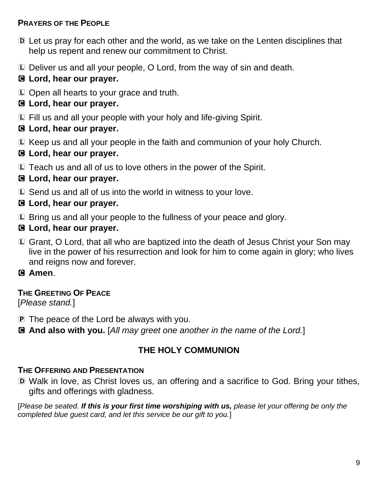#### **PRAYERS OF THE PEOPLE**

- D Let us pray for each other and the world, as we take on the Lenten disciplines that help us repent and renew our commitment to Christ.
- L Deliver us and all your people, O Lord, from the way of sin and death.
- C **Lord, hear our prayer.**
- L Open all hearts to your grace and truth.
- C **Lord, hear our prayer.**
- L Fill us and all your people with your holy and life-giving Spirit.
- C **Lord, hear our prayer.**
- L Keep us and all your people in the faith and communion of your holy Church.
- C **Lord, hear our prayer.**
- L Teach us and all of us to love others in the power of the Spirit.
- C **Lord, hear our prayer.**
- L Send us and all of us into the world in witness to your love.
- C **Lord, hear our prayer.**
- L Bring us and all your people to the fullness of your peace and glory.
- C **Lord, hear our prayer.**
- L Grant, O Lord, that all who are baptized into the death of Jesus Christ your Son may live in the power of his resurrection and look for him to come again in glory; who lives and reigns now and forever.
- C **Amen**.

## **THE GREETING OF PEACE**

[*Please stand.*]

- $\mathbb P$  The peace of the Lord be always with you.
- C **And also with you.** [*All may greet one another in the name of the Lord.*]

## **THE HOLY COMMUNION**

#### **THE OFFERING AND PRESENTATION**

D Walk in love, as Christ loves us, an offering and a sacrifice to God. Bring your tithes, gifts and offerings with gladness.

[*Please be seated. If this is your first time worshiping with us, please let your offering be only the completed blue guest card, and let this service be our gift to you.*]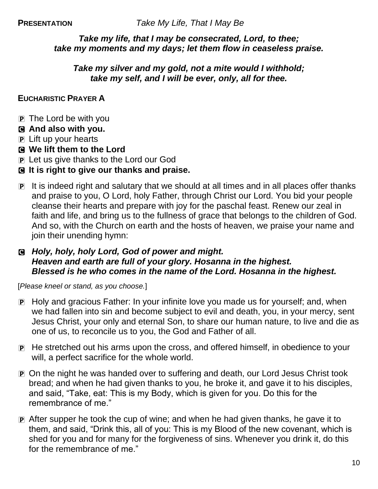#### *Take my life, that I may be consecrated, Lord, to thee; take my moments and my days; let them flow in ceaseless praise.*

*Take my silver and my gold, not a mite would I withhold; take my self, and I will be ever, only, all for thee.* 

**EUCHARISTIC PRAYER A**

- P The Lord be with you
- C **And also with you.**
- P Lift up your hearts
- C **We lift them to the Lord**
- P Let us give thanks to the Lord our God
- C **It is right to give our thanks and praise.**
- $\mathbf{P}$  It is indeed right and salutary that we should at all times and in all places offer thanks and praise to you, O Lord, holy Father, through Christ our Lord. You bid your people cleanse their hearts and prepare with joy for the paschal feast. Renew our zeal in faith and life, and bring us to the fullness of grace that belongs to the children of God. And so, with the Church on earth and the hosts of heaven, we praise your name and join their unending hymn:

#### C *Holy, holy, holy Lord, God of power and might. Heaven and earth are full of your glory. Hosanna in the highest. Blessed is he who comes in the name of the Lord. Hosanna in the highest.*

[*Please kneel or stand, as you choose.*]

- P Holy and gracious Father: In your infinite love you made us for yourself; and, when we had fallen into sin and become subject to evil and death, you, in your mercy, sent Jesus Christ, your only and eternal Son, to share our human nature, to live and die as one of us, to reconcile us to you, the God and Father of all.
- $\mathbb{P}$  He stretched out his arms upon the cross, and offered himself, in obedience to your will, a perfect sacrifice for the whole world.
- P On the night he was handed over to suffering and death, our Lord Jesus Christ took bread; and when he had given thanks to you, he broke it, and gave it to his disciples, and said, "Take, eat: This is my Body, which is given for you. Do this for the remembrance of me."
- P After supper he took the cup of wine; and when he had given thanks, he gave it to them, and said, "Drink this, all of you: This is my Blood of the new covenant, which is shed for you and for many for the forgiveness of sins. Whenever you drink it, do this for the remembrance of me."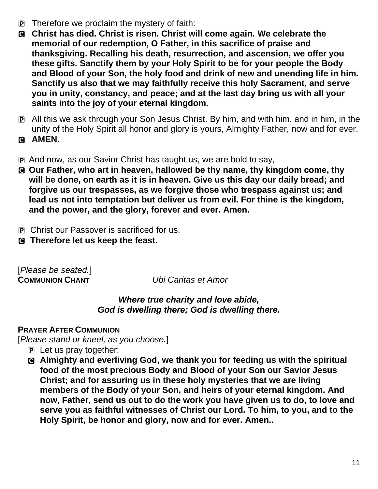- $\overline{P}$  Therefore we proclaim the mystery of faith:
- C **Christ has died. Christ is risen. Christ will come again. We celebrate the memorial of our redemption, O Father, in this sacrifice of praise and thanksgiving. Recalling his death, resurrection, and ascension, we offer you these gifts. Sanctify them by your Holy Spirit to be for your people the Body and Blood of your Son, the holy food and drink of new and unending life in him. Sanctify us also that we may faithfully receive this holy Sacrament, and serve you in unity, constancy, and peace; and at the last day bring us with all your saints into the joy of your eternal kingdom.**
- P All this we ask through your Son Jesus Christ. By him, and with him, and in him, in the unity of the Holy Spirit all honor and glory is yours, Almighty Father, now and for ever.
- C **AMEN.**
- P And now, as our Savior Christ has taught us, we are bold to say,
- C **Our Father, who art in heaven, hallowed be thy name, thy kingdom come, thy will be done, on earth as it is in heaven. Give us this day our daily bread; and forgive us our trespasses, as we forgive those who trespass against us; and lead us not into temptation but deliver us from evil. For thine is the kingdom, and the power, and the glory, forever and ever. Amen.**
- P Christ our Passover is sacrificed for us.
- C **Therefore let us keep the feast.**

[*Please be seated.*]

**COMMUNION CHANT** *Ubi Caritas et Amor*

#### *Where true charity and love abide, God is dwelling there; God is dwelling there.*

#### **PRAYER AFTER COMMUNION**

[*Please stand or kneel, as you choose.*]

- P Let us pray together:
- C **Almighty and everliving God, we thank you for feeding us with the spiritual food of the most precious Body and Blood of your Son our Savior Jesus Christ; and for assuring us in these holy mysteries that we are living members of the Body of your Son, and heirs of your eternal kingdom. And now, Father, send us out to do the work you have given us to do, to love and serve you as faithful witnesses of Christ our Lord. To him, to you, and to the Holy Spirit, be honor and glory, now and for ever. Amen..**